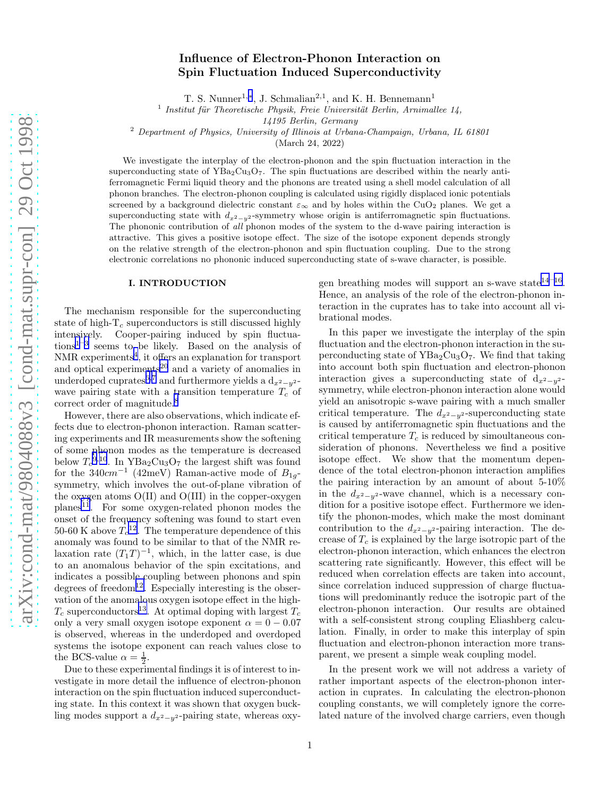# Influence of Electron-Phonon Interaction on Spin Fluctuation Induced Superconductivity

T. S. Nunner<sup>1,\*</sup>, J. Schmalian<sup>2,1</sup>, and K. H. Bennemann<sup>1</sup>

 $1$  Institut für Theoretische Physik, Freie Universität Berlin, Arnimallee 14,

14195 Berlin, Germany

<sup>2</sup> Department of Physics, University of Illinois at Urbana-Champaign, Urbana, IL 61801

(March 24, 2022)

We investigate the interplay of the electron-phonon and the spin fluctuation interaction in the superconducting state of  $YBa_2Cu_3O_7$ . The spin fluctuations are described within the nearly antiferromagnetic Fermi liquid theory and the phonons are treated using a shell model calculation of all phonon branches. The electron-phonon coupling is calculated using rigidly displaced ionic potentials screened by a background dielectric constant  $\varepsilon_{\infty}$  and by holes within the CuO<sub>2</sub> planes. We get a superconducting state with  $d_{x^2-y^2}$ -symmetry whose origin is antiferromagnetic spin fluctuations. The phononic contribution of all phonon modes of the system to the d-wave pairing interaction is attractive. This gives a positive isotope effect. The size of the isotope exponent depends strongly on the relative strength of the electron-phonon and spin fluctuation coupling. Due to the strong electronic correlations no phononic induced superconducting state of s-wave character, is possible.

#### I. INTRODUCTION

The mechanism responsible for the superconducting state of high- $T_c$  superconductors is still discussed highly intensively. Cooper-pairing induced by spin fluctuations[1](#page-9-0)–[3](#page-9-0) seems to be likely. Based on the analysis of NMR experiments<sup>[4](#page-9-0)</sup>, it offers an explanation for transport and optical experiments<sup>[20](#page-9-0)</sup> and a variety of anomalies in underdoped cuprates<sup>[6](#page-9-0),[7](#page-9-0)</sup> and furthermore yields a  $d_{x^2-y^2}$ wave pairing state with a transition temperature  $T_c$  of correct order of magnitude.[8](#page-9-0)

However, there are also observations, which indicate effects due to electron-phonon interaction. Raman scattering experiments and IR measurements show the softening of some phonon modes as the temperature is decreased below  $T_c^{9,10}$  $T_c^{9,10}$  $T_c^{9,10}$  $T_c^{9,10}$  $T_c^{9,10}$ . In YBa<sub>2</sub>Cu<sub>3</sub>O<sub>7</sub> the largest shift was found for the 340 $cm^{-1}$  (42meV) Raman-active mode of  $B_{1g}$ symmetry, which involves the out-of-plane vibration of the oxygen atoms  $O(II)$  and  $O(III)$  in the copper-oxygen  $plane<sup>11</sup>$  $plane<sup>11</sup>$  $plane<sup>11</sup>$ . For some oxygen-related phonon modes the onset of the frequency softening was found to start even 50-60 K above  $T_c^{12}$  $T_c^{12}$  $T_c^{12}$ . The temperature dependence of this anomaly was found to be similar to that of the NMR relaxation rate  $(T_1T)^{-1}$ , which, in the latter case, is due to an anomalous behavior of the spin excitations, and indicates a possible coupling between phonons and spin degrees of freedom<sup>[12](#page-9-0)</sup>. Especially interesting is the observation of the anomalous oxygen isotope effect in the high- $T_c$  superconductors<sup>[13](#page-9-0)</sup>. At optimal doping with largest  $T_c$ only a very small oxygen isotope exponent  $\alpha = 0 - 0.07$ is observed, whereas in the underdoped and overdoped systems the isotope exponent can reach values close to the BCS-value  $\alpha = \frac{1}{2}$ .

Due to these experimental findings it is of interest to investigate in more detail the influence of electron-phonon interaction on the spin fluctuation induced superconducting state. In this context it was shown that oxygen buckling modes support a  $d_{x^2-y^2}$ -pairing state, whereas oxy-

gen breathing modes will support an s-wave state<sup>[14](#page-9-0)-[16](#page-9-0)</sup>. Hence, an analysis of the role of the electron-phonon interaction in the cuprates has to take into account all vibrational modes.

In this paper we investigate the interplay of the spin fluctuation and the electron-phonon interaction in the superconducting state of  $YBa<sub>2</sub>Cu<sub>3</sub>O<sub>7</sub>$ . We find that taking into account both spin fluctuation and electron-phonon interaction gives a superconducting state of  $d_{x^2-y^2}$ symmetry, while electron-phonon interaction alone would yield an anisotropic s-wave pairing with a much smaller critical temperature. The  $d_{x^2-y^2}$ -superconducting state is caused by antiferromagnetic spin fluctuations and the critical temperature  $T_c$  is reduced by simoultaneous consideration of phonons. Nevertheless we find a positive isotope effect. We show that the momentum dependence of the total electron-phonon interaction amplifies the pairing interaction by an amount of about 5-10% in the  $d_{x^2-y^2}$ -wave channel, which is a necessary condition for a positive isotope effect. Furthermore we identify the phonon-modes, which make the most dominant contribution to the  $d_{x^2-y^2}$ -pairing interaction. The decrease of  $T_c$  is explained by the large isotropic part of the electron-phonon interaction, which enhances the electron scattering rate significantly. However, this effect will be reduced when correlation effects are taken into account, since correlation induced suppression of charge fluctuations will predominantly reduce the isotropic part of the electron-phonon interaction. Our results are obtained with a self-consistent strong coupling Eliashberg calculation. Finally, in order to make this interplay of spin fluctuation and electron-phonon interaction more transparent, we present a simple weak coupling model.

In the present work we will not address a variety of rather important aspects of the electron-phonon interaction in cuprates. In calculating the electron-phonon coupling constants, we will completely ignore the correlated nature of the involved charge carriers, even though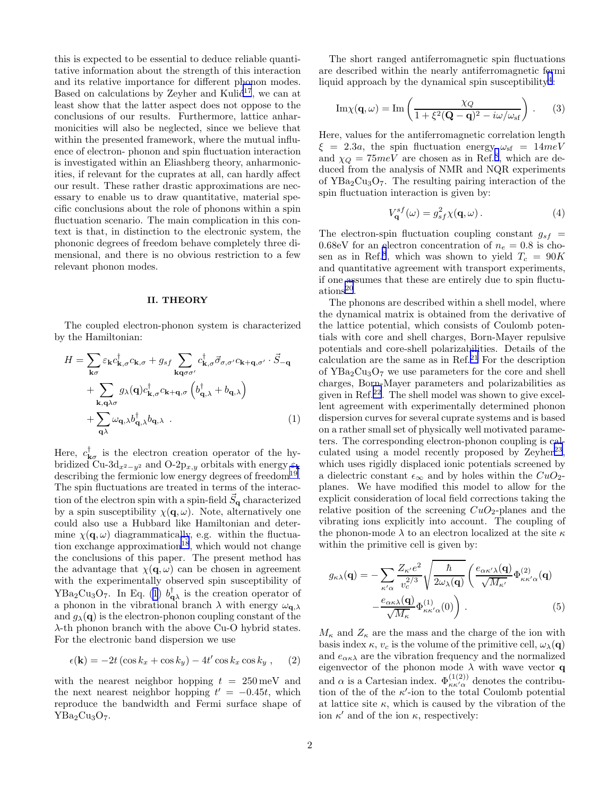this is expected to be essential to deduce reliable quantitative information about the strength of this interaction and its relative importance for different phonon modes. Based on calculations by Zeyher and Kuli $\acute{c}^{17}$  $\acute{c}^{17}$  $\acute{c}^{17}$ , we can at least show that the latter aspect does not oppose to the conclusions of our results. Furthermore, lattice anharmonicities will also be neglected, since we believe that within the presented framework, where the mutual influence of electron- phonon and spin fluctuation interaction is investigated within an Eliashberg theory, anharmonicities, if relevant for the cuprates at all, can hardly affect our result. These rather drastic approximations are necessary to enable us to draw quantitative, material specific conclusions about the role of phonons within a spin fluctuation scenario. The main complication in this context is that, in distinction to the electronic system, the phononic degrees of freedom behave completely three dimensional, and there is no obvious restriction to a few relevant phonon modes.

### II. THEORY

The coupled electron-phonon system is characterized by the Hamiltonian:

$$
H = \sum_{\mathbf{k}\sigma} \varepsilon_{\mathbf{k}} c_{\mathbf{k},\sigma}^{\dagger} c_{\mathbf{k},\sigma} + g_{s f} \sum_{\mathbf{k}\mathbf{q}\sigma\sigma'} c_{\mathbf{k},\sigma}^{\dagger} \vec{\sigma}_{\sigma,\sigma'} c_{\mathbf{k}+\mathbf{q},\sigma'} \cdot \vec{S}_{-\mathbf{q}}
$$
  
+ 
$$
\sum_{\mathbf{k},\mathbf{q}\lambda\sigma} g_{\lambda}(\mathbf{q}) c_{\mathbf{k},\sigma}^{\dagger} c_{\mathbf{k}+\mathbf{q},\sigma} \left( b_{\mathbf{q},\lambda}^{\dagger} + b_{\mathbf{q},\lambda} \right)
$$
  
+ 
$$
\sum_{\mathbf{q}\lambda} \omega_{\mathbf{q},\lambda} b_{\mathbf{q},\lambda}^{\dagger} b_{\mathbf{q},\lambda} .
$$
 (1)

Here,  $c_{\mathbf{k}\sigma}^{\dagger}$  is the electron creation operator of the hybridized Cu-3d<sub>x<sup>2</sup>-y<sup>2</sup></sub> and O-2p<sub>x,y</sub> orbitals with energy  $\varepsilon_{\mathbf{k}}$ describing the fermionic low energy degrees of freedom<sup>[19](#page-10-0)</sup>. The spin fluctuations are treated in terms of the interaction of the electron spin with a spin-field  $\vec{S}_{\mathbf{q}}$  characterized by a spin susceptibility  $\chi(\mathbf{q}, \omega)$ . Note, alternatively one could also use a Hubbard like Hamiltonian and determine  $\chi(\mathbf{q}, \omega)$  diagrammatically, e.g. within the fluctua-tion exchange approximation<sup>[18](#page-10-0)</sup>, which would not change the conclusions of this paper. The present method has the advantage that  $\chi(\mathbf{q}, \omega)$  can be chosen in agreement with the experimentally observed spin susceptibility of YBa<sub>2</sub>Cu<sub>3</sub>O<sub>7</sub>. In Eq. (1)  $b_{\mathbf{q}\lambda}^{\dagger}$  is the creation operator of a phonon in the vibrational branch  $\lambda$  with energy  $\omega_{q,\lambda}$ and  $g_{\lambda}(\mathbf{q})$  is the electron-phonon coupling constant of the λ-th phonon branch with the above Cu-O hybrid states. For the electronic band dispersion we use

$$
\epsilon(\mathbf{k}) = -2t(\cos k_x + \cos k_y) - 4t'\cos k_x \cos k_y , \quad (2)
$$

with the nearest neighbor hopping  $t = 250 \,\text{meV}$  and the next nearest neighbor hopping  $t' = -0.45t$ , which reproduce the bandwidth and Fermi surface shape of  $YBa<sub>2</sub>Cu<sub>3</sub>O<sub>7</sub>$ .

The short ranged antiferromagnetic spin fluctuations are described within the nearly antiferromagnetic fermi liquid approach by the dynamical spin susceptibility<sup>[4](#page-9-0)</sup>:

$$
\mathrm{Im}\chi(\mathbf{q},\omega) = \mathrm{Im}\left(\frac{\chi_Q}{1 + \xi^2(\mathbf{Q} - \mathbf{q})^2 - i\omega/\omega_{\mathrm{sf}}}\right). \tag{3}
$$

Here, values for the antiferromagnetic correlation length  $\xi = 2.3a$ , the spin fluctuation energy  $\omega_{\rm sf} = 14meV$ and  $\chi_Q = 75meV$  are chosen as in Ref.<sup>[8](#page-9-0)</sup>, which are deduced from the analysis of NMR and NQR experiments of  $YBa<sub>2</sub>Cu<sub>3</sub>O<sub>7</sub>$ . The resulting pairing interaction of the spin fluctuation interaction is given by:

$$
V_{\mathbf{q}}^{sf}(\omega) = g_{sf}^2 \chi(\mathbf{q}, \omega).
$$
 (4)

The electron-spin fluctuation coupling constant  $g_{sf}$  = 0.68eV for an electron concentration of  $n_e = 0.8$  is cho-sen as in Ref.<sup>[8](#page-9-0)</sup>, which was shown to yield  $T_c = 90K$ and quantitative agreement with transport experiments, if one assumes that these are entirely due to spin fluctu-ations<sup>[20](#page-9-0)</sup>.

The phonons are described within a shell model, where the dynamical matrix is obtained from the derivative of the lattice potential, which consists of Coulomb potentials with core and shell charges, Born-Mayer repulsive potentials and core-shell polarizabilities. Details of the calculation are the same as in Ref. $21$  For the description of  $YBa<sub>2</sub>Cu<sub>3</sub>O<sub>7</sub>$  we use parameters for the core and shell charges, Born-Mayer parameters and polarizabilities as given in Ref.[22](#page-10-0). The shell model was shown to give excellent agreement with experimentally determined phonon dispersion curves for several cuprate systems and is based on a rather small set of physically well motivated parameters. The corresponding electron-phonon coupling is calculated using a model recently proposed by  $Zeyher<sup>23</sup>$  $Zeyher<sup>23</sup>$  $Zeyher<sup>23</sup>$ , which uses rigidly displaced ionic potentials screened by a dielectric constant  $\epsilon_{\infty}$  and by holes within the  $CuO<sub>2</sub>$ planes. We have modified this model to allow for the explicit consideration of local field corrections taking the relative position of the screening  $CuO<sub>2</sub>$ -planes and the vibrating ions explicitly into account. The coupling of the phonon-mode  $\lambda$  to an electron localized at the site  $\kappa$ within the primitive cell is given by:

$$
g_{\kappa\lambda}(\mathbf{q}) = -\sum_{\kappa'\alpha} \frac{Z_{\kappa'}e^2}{v_c^{2/3}} \sqrt{\frac{\hbar}{2\omega_{\lambda}(\mathbf{q})}} \left(\frac{e_{\alpha\kappa'\lambda}(\mathbf{q})}{\sqrt{M_{\kappa'}}} \Phi_{\kappa\kappa'\alpha}^{(2)}(\mathbf{q}) - \frac{e_{\alpha\kappa\lambda}(\mathbf{q})}{\sqrt{M_{\kappa}}} \Phi_{\kappa\kappa'\alpha}^{(1)}(0)\right).
$$
(5)

 $M_{\kappa}$  and  $Z_{\kappa}$  are the mass and the charge of the ion with basis index  $\kappa$ ,  $v_c$  is the volume of the primitive cell,  $\omega_{\lambda}(\mathbf{q})$ and  $e_{\alpha\kappa\lambda}$  are the vibration frequency and the normalized eigenvector of the phonon mode  $\lambda$  with wave vector **q** and  $\alpha$  is a Cartesian index.  $\Phi_{\kappa \kappa' \alpha}^{(1(2))}$  denotes the contribution of the of the  $\kappa'$ -ion to the total Coulomb potential at lattice site  $\kappa$ , which is caused by the vibration of the ion  $\kappa'$  and of the ion  $\kappa$ , respectively: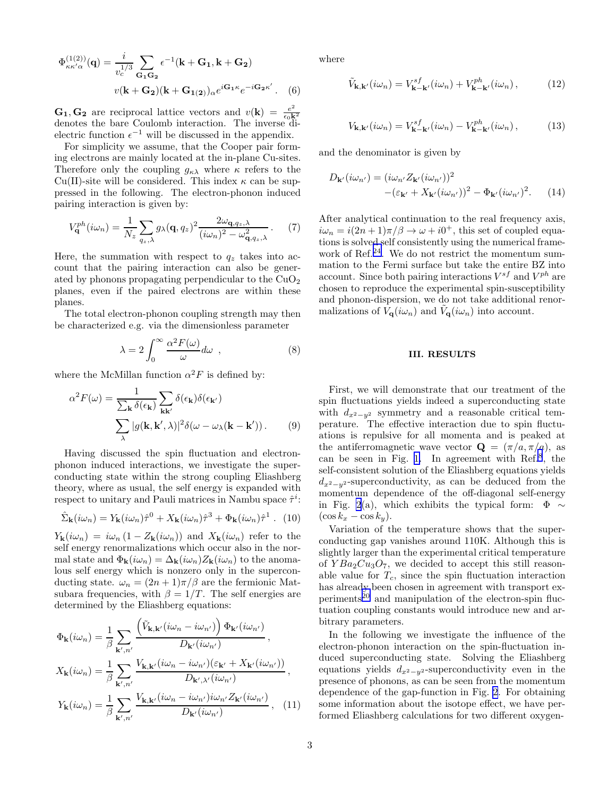<span id="page-2-0"></span>
$$
\Phi_{\kappa\kappa'\alpha}^{(1(2))}(\mathbf{q}) = \frac{i}{v_c^{1/3}} \sum_{\mathbf{G_1 G_2}} \epsilon^{-1}(\mathbf{k} + \mathbf{G_1}, \mathbf{k} + \mathbf{G_2})
$$

$$
v(\mathbf{k} + \mathbf{G_2})(\mathbf{k} + \mathbf{G_1}(\mathbf{q}))_\alpha e^{i\mathbf{G_1}\kappa} e^{-i\mathbf{G_2}\kappa'}.
$$
(6)

 $\mathbf{G_1}, \mathbf{G_2}$  are reciprocal lattice vectors and  $v(\mathbf{k}) = \frac{e^2}{\epsilon_0 \mathbf{k}}$  $\epsilon_0\mathbf{k}^2$ denotes the bare Coulomb interaction. The inverse dielectric function  $\epsilon^{-1}$  will be discussed in the appendix.

For simplicity we assume, that the Cooper pair forming electrons are mainly located at the in-plane Cu-sites. Therefore only the coupling  $g_{\kappa\lambda}$  where  $\kappa$  refers to the Cu(II)-site will be considered. This index  $\kappa$  can be suppressed in the following. The electron-phonon induced pairing interaction is given by:

$$
V_{\mathbf{q}}^{ph}(i\omega_n) = \frac{1}{N_z} \sum_{q_z,\lambda} g_\lambda(\mathbf{q}, q_z)^2 \frac{2\omega_{\mathbf{q},q_z,\lambda}}{(i\omega_n)^2 - \omega_{\mathbf{q},q_z,\lambda}^2} \,. \tag{7}
$$

Here, the summation with respect to  $q_z$  takes into account that the pairing interaction can also be generated by phonons propagating perpendicular to the  $CuO<sub>2</sub>$ planes, even if the paired electrons are within these planes.

The total electron-phonon coupling strength may then be characterized e.g. via the dimensionless parameter

$$
\lambda = 2 \int_0^\infty \frac{\alpha^2 F(\omega)}{\omega} d\omega , \qquad (8)
$$

where the McMillan function  $\alpha^2 F$  is defined by:

$$
\alpha^{2} F(\omega) = \frac{1}{\sum_{\mathbf{k}} \delta(\epsilon_{\mathbf{k}})} \sum_{\mathbf{k}\mathbf{k}'} \delta(\epsilon_{\mathbf{k}}) \delta(\epsilon_{\mathbf{k}'})
$$

$$
\sum_{\lambda} |g(\mathbf{k}, \mathbf{k}', \lambda)|^{2} \delta(\omega - \omega_{\lambda}(\mathbf{k} - \mathbf{k}')). \qquad (9)
$$

Having discussed the spin fluctuation and electronphonon induced interactions, we investigate the superconducting state within the strong coupling Eliashberg theory, where as usual, the self energy is expanded with respect to unitary and Pauli matrices in Nambu space  $\hat{\tau}^i$ :

$$
\hat{\Sigma}_{\mathbf{k}}(i\omega_n) = Y_{\mathbf{k}}(i\omega_n)\hat{\tau}^0 + X_{\mathbf{k}}(i\omega_n)\hat{\tau}^3 + \Phi_{\mathbf{k}}(i\omega_n)\hat{\tau}^1. (10)
$$

 $Y_{\mathbf{k}}(i\omega_n) = i\omega_n (1 - Z_{\mathbf{k}}(i\omega_n))$  and  $X_{\mathbf{k}}(i\omega_n)$  refer to the self energy renormalizations which occur also in the normal state and  $\Phi_{\mathbf{k}}(i\omega_n) = \Delta_{\mathbf{k}}(i\omega_n)Z_{\mathbf{k}}(i\omega_n)$  to the anomalous self energy which is nonzero only in the superconducting state.  $\omega_n = (2n+1)\pi/\beta$  are the fermionic Matsubara frequencies, with  $\beta = 1/T$ . The self energies are determined by the Eliashberg equations:

$$
\Phi_{\mathbf{k}}(i\omega_{n}) = \frac{1}{\beta} \sum_{\mathbf{k}',n'} \frac{\left(\tilde{V}_{\mathbf{k},\mathbf{k}'}(i\omega_{n} - i\omega_{n'})\right) \Phi_{\mathbf{k}'}(i\omega_{n'})}{D_{\mathbf{k}'}(i\omega_{n'})},
$$
\n
$$
X_{\mathbf{k}}(i\omega_{n}) = \frac{1}{\beta} \sum_{\mathbf{k}',n'} \frac{V_{\mathbf{k},\mathbf{k}'}(i\omega_{n} - i\omega_{n'}) (\varepsilon_{\mathbf{k}'} + X_{\mathbf{k}'}(i\omega_{n'}))}{D_{\mathbf{k}',\lambda'}(i\omega_{n'})},
$$
\n
$$
Y_{\mathbf{k}}(i\omega_{n}) = \frac{1}{\beta} \sum_{\mathbf{k}',n'} \frac{V_{\mathbf{k},\mathbf{k}'}(i\omega_{n} - i\omega_{n'})i\omega_{n'} Z_{\mathbf{k}'}(i\omega_{n'})}{D_{\mathbf{k}'}(i\omega_{n'})},
$$
\n(11)

where

$$
\tilde{V}_{\mathbf{k},\mathbf{k'}}(i\omega_n) = V_{\mathbf{k}-\mathbf{k'}}^{sf}(i\omega_n) + V_{\mathbf{k}-\mathbf{k'}}^{ph}(i\omega_n),\tag{12}
$$

$$
V_{\mathbf{k},\mathbf{k'}}(i\omega_n) = V_{\mathbf{k}-\mathbf{k'}}^{sf}(i\omega_n) - V_{\mathbf{k}-\mathbf{k'}}^{ph}(i\omega_n),
$$
 (13)

and the denominator is given by

$$
D_{\mathbf{k}'}(i\omega_{n'}) = (i\omega_{n'} Z_{\mathbf{k}'}(i\omega_{n'}))^2
$$

$$
-(\varepsilon_{\mathbf{k}'} + X_{\mathbf{k}'}(i\omega_{n'}))^2 - \Phi_{\mathbf{k}'}(i\omega_{n'})^2. \qquad (14)
$$

After analytical continuation to the real frequency axis,  $i\omega_n = i(2n+1)\pi/\beta \rightarrow \omega + i0^+,$  this set of coupled equations is solved self consistently using the numerical frame-work of Ref.<sup>[24](#page-10-0)</sup>. We do not restrict the momentum summation to the Fermi surface but take the entire BZ into account. Since both pairing interactions  $V^{sf}$  and  $V^{ph}$  are chosen to reproduce the experimental spin-susceptibility and phonon-dispersion, we do not take additional renormalizations of  $\tilde{V}_{q}(i\omega_n)$  and  $\tilde{V}_{q}(i\omega_n)$  into account.

## III. RESULTS

First, we will demonstrate that our treatment of the spin fluctuations yields indeed a superconducting state with  $d_{x^2-y^2}$  symmetry and a reasonable critical temperature. The effective interaction due to spin fluctuations is repulsive for all momenta and is peaked at the antiferromagnetic wave vector  $\mathbf{Q} = (\pi/a, \pi/a)$ , as can be seen in Fig. [1.](#page-3-0) In agreement with Ref.[8](#page-9-0) , the self-consistent solution of the Eliashberg equations yields  $d_{x^2-y^2}$ -superconductivity, as can be deduced from the momentum dependence of the off-diagonal self-energy in Fig. [2](#page-3-0)(a), which exhibits the typical form:  $\Phi \sim$  $(\cos k_x - \cos k_y).$ 

Variation of the temperature shows that the superconducting gap vanishes around 110K. Although this is slightly larger than the experimental critical temperature of  $YBa<sub>2</sub>Cu<sub>3</sub>O<sub>7</sub>$ , we decided to accept this still reasonable value for  $T_c$ , since the spin fluctuation interaction has already been chosen in agreement with transport ex-periments<sup>[20](#page-9-0)</sup> and manipulation of the electron-spin fluctuation coupling constants would introduce new and arbitrary parameters.

In the following we investigate the influence of the electron-phonon interaction on the spin-fluctuation induced superconducting state. Solving the Eliashberg equations yields  $d_{x^2-y^2}$ -superconductivity even in the presence of phonons, as can be seen from the momentum dependence of the gap-function in Fig. [2](#page-3-0). For obtaining some information about the isotope effect, we have performed Eliashberg calculations for two different oxygen-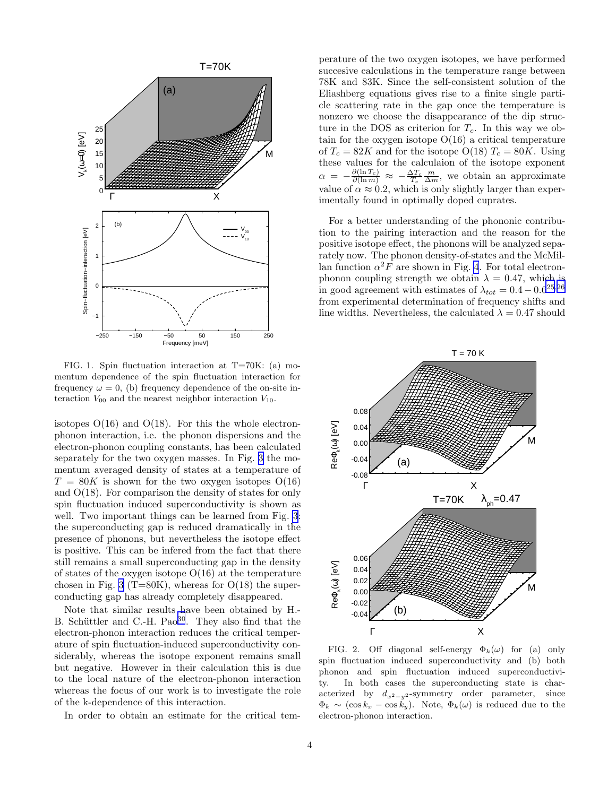<span id="page-3-0"></span>

FIG. 1. Spin fluctuation interaction at T=70K: (a) momentum dependence of the spin fluctuation interaction for frequency  $\omega = 0$ , (b) frequency dependence of the on-site interaction  $V_{00}$  and the nearest neighbor interaction  $V_{10}$ .

isotopes  $O(16)$  and  $O(18)$ . For this the whole electronphonon interaction, i.e. the phonon dispersions and the electron-phonon coupling constants, has been calculated separately for the two oxygen masses. In Fig. [3](#page-4-0) the momentum averaged density of states at a temperature of  $T = 80K$  is shown for the two oxygen isotopes  $O(16)$ and O(18). For comparison the density of states for only spin fluctuation induced superconductivity is shown as well. Two important things can be learned from Fig. [3](#page-4-0): the superconducting gap is reduced dramatically in the presence of phonons, but nevertheless the isotope effect is positive. This can be infered from the fact that there still remains a small superconducting gap in the density of states of the oxygen isotope  $O(16)$  at the temperature chosen in Fig. [3](#page-4-0) (T=80K), whereas for  $O(18)$  the superconducting gap has already completely disappeared.

Note that similar results have been obtained by H.- B. Schüttler and C.-H. Pao<sup>[30](#page-10-0)</sup>. They also find that the electron-phonon interaction reduces the critical temperature of spin fluctuation-induced superconductivity considerably, whereas the isotope exponent remains small but negative. However in their calculation this is due to the local nature of the electron-phonon interaction whereas the focus of our work is to investigate the role of the k-dependence of this interaction.

In order to obtain an estimate for the critical tem-

perature of the two oxygen isotopes, we have performed succesive calculations in the temperature range between 78K and 83K. Since the self-consistent solution of the Eliashberg equations gives rise to a finite single particle scattering rate in the gap once the temperature is nonzero we choose the disappearance of the dip structure in the DOS as criterion for  $T_c$ . In this way we obtain for the oxygen isotope  $O(16)$  a critical temperature of  $T_c = 82K$  and for the isotope O(18)  $T_c = 80K$ . Using these values for the calculaion of the isotope exponent  $\alpha = -\frac{\partial(\ln T_c)}{\partial(\ln m)} \approx -\frac{\Delta T_c}{T_c} \frac{m}{\Delta m}$ , we obtain an approximate value of  $\alpha \approx 0.2$ , which is only slightly larger than experimentally found in optimally doped cuprates.

For a better understanding of the phononic contribution to the pairing interaction and the reason for the positive isotope effect, the phonons will be analyzed separately now. The phonon density-of-states and the McMillan function  $\alpha^2 F$  are shown in Fig. [4](#page-4-0). For total electronphonon coupling strength we obtain  $\lambda = 0.47$ , which is in good agreement with estimates of  $\lambda_{tot} = 0.4 - 0.6^{25,26}$  $\lambda_{tot} = 0.4 - 0.6^{25,26}$  $\lambda_{tot} = 0.4 - 0.6^{25,26}$  $\lambda_{tot} = 0.4 - 0.6^{25,26}$  $\lambda_{tot} = 0.4 - 0.6^{25,26}$ from experimental determination of frequency shifts and line widths. Nevertheless, the calculated  $\lambda = 0.47$  should



FIG. 2. Off diagonal self-energy  $\Phi_k(\omega)$  for (a) only spin fluctuation induced superconductivity and (b) both phonon and spin fluctuation induced superconductivity. In both cases the superconducting state is characterized by  $d_{x^2-y^2}$ -symmetry order parameter, since  $\Phi_k \sim (\cos k_x - \cos k_y)$ . Note,  $\Phi_k(\omega)$  is reduced due to the electron-phonon interaction.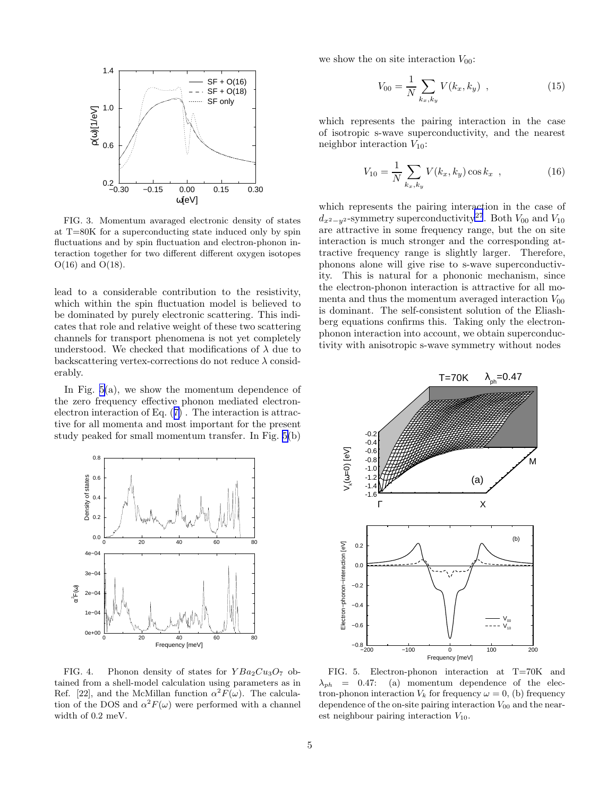<span id="page-4-0"></span>

FIG. 3. Momentum avaraged electronic density of states at T=80K for a superconducting state induced only by spin fluctuations and by spin fluctuation and electron-phonon interaction together for two different different oxygen isotopes  $O(16)$  and  $O(18)$ .

lead to a considerable contribution to the resistivity, which within the spin fluctuation model is believed to be dominated by purely electronic scattering. This indicates that role and relative weight of these two scattering channels for transport phenomena is not yet completely understood. We checked that modifications of  $\lambda$  due to backscattering vertex-corrections do not reduce  $\lambda$  considerably.

In Fig. 5(a), we show the momentum dependence of the zero frequency effective phonon mediated electronelectron interaction of Eq.([7\)](#page-2-0) . The interaction is attractive for all momenta and most important for the present study peaked for small momentum transfer. In Fig. 5(b)



FIG. 4. Phonon density of states for  $YBa<sub>2</sub>Cu<sub>3</sub>O<sub>7</sub>$  obtained from a shell-model calculation using parameters as in Ref. [22], and the McMillan function  $\alpha^2 F(\omega)$ . The calculation of the DOS and  $\alpha^2 F(\omega)$  were performed with a channel width of 0.2 meV.

we show the on site interaction  $V_{00}$ :

$$
V_{00} = \frac{1}{N} \sum_{k_x, k_y} V(k_x, k_y) \quad , \tag{15}
$$

which represents the pairing interaction in the case of isotropic s-wave superconductivity, and the nearest neighbor interaction  $V_{10}$ :

$$
V_{10} = \frac{1}{N} \sum_{k_x, k_y} V(k_x, k_y) \cos k_x , \qquad (16)
$$

which represents the pairing interaction in the case of  $d_{x^2-y^2}$ -symmetry superconductivity<sup>[27](#page-10-0)</sup>. Both  $V_{00}$  and  $V_{10}$ are attractive in some frequency range, but the on site interaction is much stronger and the corresponding attractive frequency range is slightly larger. Therefore, phonons alone will give rise to s-wave superconductivity. This is natural for a phononic mechanism, since the electron-phonon interaction is attractive for all momenta and thus the momentum averaged interaction  $V_{00}$ is dominant. The self-consistent solution of the Eliashberg equations confirms this. Taking only the electronphonon interaction into account, we obtain superconductivity with anisotropic s-wave symmetry without nodes



FIG. 5. Electron-phonon interaction at T=70K and  $\lambda_{ph}$  = 0.47: (a) momentum dependence of the electron-phonon interaction  $V_k$  for frequency  $\omega = 0$ , (b) frequency dependence of the on-site pairing interaction  $V_{00}$  and the nearest neighbour pairing interaction  $V_{10}$ .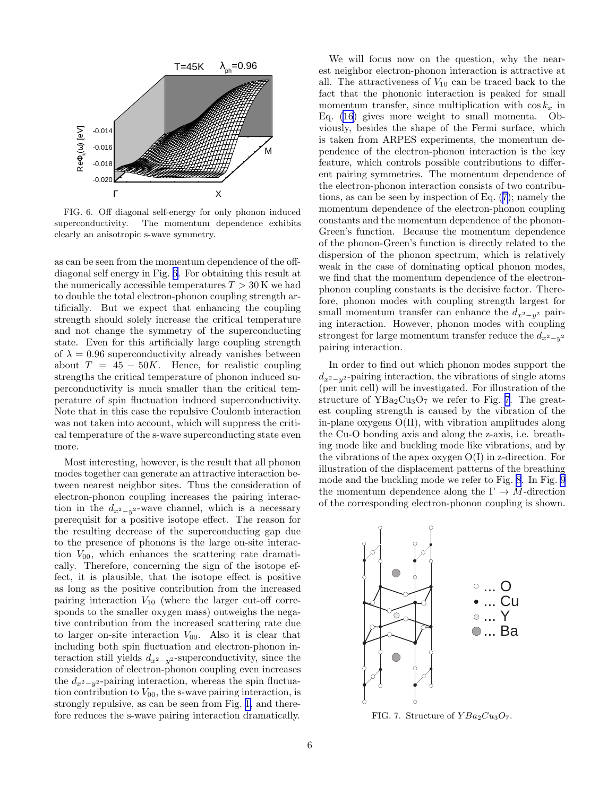

FIG. 6. Off diagonal self-energy for only phonon induced superconductivity. The momentum dependence exhibits clearly an anisotropic s-wave symmetry.

as can be seen from the momentum dependence of the offdiagonal self energy in Fig. 6. For obtaining this result at the numerically accessible temperatures  $T > 30$  K we had to double the total electron-phonon coupling strength artificially. But we expect that enhancing the coupling strength should solely increase the critical temperature and not change the symmetry of the superconducting state. Even for this artificially large coupling strength of  $\lambda = 0.96$  superconductivity already vanishes between about  $T = 45 - 50K$ . Hence, for realistic coupling strengths the critical temperature of phonon induced superconductivity is much smaller than the critical temperature of spin fluctuation induced superconductivity. Note that in this case the repulsive Coulomb interaction was not taken into account, which will suppress the critical temperature of the s-wave superconducting state even more.

Most interesting, however, is the result that all phonon modes together can generate an attractive interaction between nearest neighbor sites. Thus the consideration of electron-phonon coupling increases the pairing interaction in the  $d_{x^2-y^2}$ -wave channel, which is a necessary prerequisit for a positive isotope effect. The reason for the resulting decrease of the superconducting gap due to the presence of phonons is the large on-site interaction  $V_{00}$ , which enhances the scattering rate dramatically. Therefore, concerning the sign of the isotope effect, it is plausible, that the isotope effect is positive as long as the positive contribution from the increased pairing interaction  $V_{10}$  (where the larger cut-off corresponds to the smaller oxygen mass) outweighs the negative contribution from the increased scattering rate due to larger on-site interaction  $V_{00}$ . Also it is clear that including both spin fluctuation and electron-phonon interaction still yields  $d_{x^2-y^2}$ -superconductivity, since the consideration of electron-phonon coupling even increases the  $d_{x^2-y^2}$ -pairing interaction, whereas the spin fluctuation contribution to  $V_{00}$ , the s-wave pairing interaction, is strongly repulsive, as can be seen from Fig. [1,](#page-3-0) and therefore reduces the s-wave pairing interaction dramatically.

We will focus now on the question, why the nearest neighbor electron-phonon interaction is attractive at all. The attractiveness of  $V_{10}$  can be traced back to the fact that the phononic interaction is peaked for small momentum transfer, since multiplication with  $\cos k_x$  in Eq. [\(16](#page-4-0)) gives more weight to small momenta. Obviously, besides the shape of the Fermi surface, which is taken from ARPES experiments, the momentum dependence of the electron-phonon interaction is the key feature, which controls possible contributions to different pairing symmetries. The momentum dependence of the electron-phonon interaction consists of two contributions, as can be seen by inspection of Eq.([7\)](#page-2-0); namely the momentum dependence of the electron-phonon coupling constants and the momentum dependence of the phonon-Green's function. Because the momentum dependence of the phonon-Green's function is directly related to the dispersion of the phonon spectrum, which is relatively weak in the case of dominating optical phonon modes, we find that the momentum dependence of the electronphonon coupling constants is the decisive factor. Therefore, phonon modes with coupling strength largest for small momentum transfer can enhance the  $d_{x^2-y^2}$  pairing interaction. However, phonon modes with coupling strongest for large momentum transfer reduce the  $d_{x^2-y^2}$ pairing interaction.

In order to find out which phonon modes support the  $d_{x^2-y^2}$ -pairing interaction, the vibrations of single atoms (per unit cell) will be investigated. For illustration of the structure of  $YBa<sub>2</sub>Cu<sub>3</sub>O<sub>7</sub>$  we refer to Fig. 7. The greatest coupling strength is caused by the vibration of the in-plane oxygens O(II), with vibration amplitudes along the Cu-O bonding axis and along the z-axis, i.e. breathing mode like and buckling mode like vibrations, and by the vibrations of the apex oxygen  $O(I)$  in z-direction. For illustration of the displacement patterns of the breathing mode and the buckling mode we refer to Fig. [8](#page-6-0). In Fig. [9](#page-6-0) the momentum dependence along the  $\Gamma \to M$ -direction of the corresponding electron-phonon coupling is shown.



FIG. 7. Structure of  $YBa_2Cu_3O_7$ .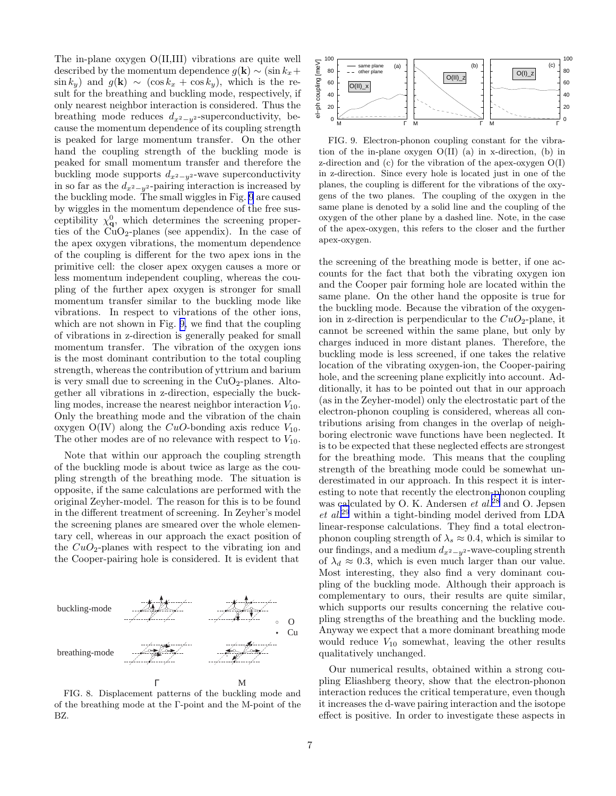<span id="page-6-0"></span>The in-plane oxygen O(II,III) vibrations are quite well described by the momentum dependence  $g(\mathbf{k}) \sim (\sin k_x +$  $\sin k_y$ ) and  $g(\mathbf{k}) \sim (\cos k_x + \cos k_y)$ , which is the result for the breathing and buckling mode, respectively, if only nearest neighbor interaction is considered. Thus the breathing mode reduces  $d_{x^2-y^2}$ -superconductivity, because the momentum dependence of its coupling strength is peaked for large momentum transfer. On the other hand the coupling strength of the buckling mode is peaked for small momentum transfer and therefore the buckling mode supports  $d_{x^2-y^2}$ -wave superconductivity in so far as the  $d_{x^2-y^2}$ -pairing interaction is increased by the buckling mode. The small wiggles in Fig. 9 are caused by wiggles in the momentum dependence of the free susceptibility  $\chi^0_{\mathbf{q}}$ , which determines the screening properties of the  $\text{CuO}_2$ -planes (see appendix). In the case of the apex oxygen vibrations, the momentum dependence of the coupling is different for the two apex ions in the primitive cell: the closer apex oxygen causes a more or less momentum independent coupling, whereas the coupling of the further apex oxygen is stronger for small momentum transfer similar to the buckling mode like vibrations. In respect to vibrations of the other ions, which are not shown in Fig. 9, we find that the coupling of vibrations in z-direction is generally peaked for small momentum transfer. The vibration of the oxygen ions is the most dominant contribution to the total coupling strength, whereas the contribution of yttrium and barium is very small due to screening in the  $CuO<sub>2</sub>$ -planes. Altogether all vibrations in z-direction, especially the buckling modes, increase the nearest neighbor interaction  $V_{10}$ . Only the breathing mode and the vibration of the chain oxygen  $O(IV)$  along the CuO-bonding axis reduce  $V_{10}$ . The other modes are of no relevance with respect to  $V_{10}$ .

Note that within our approach the coupling strength of the buckling mode is about twice as large as the coupling strength of the breathing mode. The situation is opposite, if the same calculations are performed with the original Zeyher-model. The reason for this is to be found in the different treatment of screening. In Zeyher's model the screening planes are smeared over the whole elementary cell, whereas in our approach the exact position of the  $CuO<sub>2</sub>$ -planes with respect to the vibrating ion and the Cooper-pairing hole is considered. It is evident that



FIG. 8. Displacement patterns of the buckling mode and of the breathing mode at the Γ-point and the M-point of the BZ.



FIG. 9. Electron-phonon coupling constant for the vibration of the in-plane oxygen O(II) (a) in x-direction, (b) in z-direction and (c) for the vibration of the apex-oxygen O(I) in z-direction. Since every hole is located just in one of the planes, the coupling is different for the vibrations of the oxygens of the two planes. The coupling of the oxygen in the same plane is denoted by a solid line and the coupling of the oxygen of the other plane by a dashed line. Note, in the case of the apex-oxygen, this refers to the closer and the further apex-oxygen.

the screening of the breathing mode is better, if one accounts for the fact that both the vibrating oxygen ion and the Cooper pair forming hole are located within the same plane. On the other hand the opposite is true for the buckling mode. Because the vibration of the oxygenion in z-direction is perpendicular to the  $CuO<sub>2</sub>$ -plane, it cannot be screened within the same plane, but only by charges induced in more distant planes. Therefore, the buckling mode is less screened, if one takes the relative location of the vibrating oxygen-ion, the Cooper-pairing hole, and the screening plane explicitly into account. Additionally, it has to be pointed out that in our approach (as in the Zeyher-model) only the electrostatic part of the electron-phonon coupling is considered, whereas all contributions arising from changes in the overlap of neighboring electronic wave functions have been neglected. It is to be expected that these neglected effects are strongest for the breathing mode. This means that the coupling strength of the breathing mode could be somewhat underestimated in our approach. In this respect it is interesting to note that recently the electron-phonon coupling was calculated by O. K. Andersen et  $al.^{28}$  $al.^{28}$  $al.^{28}$  and O. Jepsen  $et \ al.<sup>29</sup>$  $et \ al.<sup>29</sup>$  $et \ al.<sup>29</sup>$  within a tight-binding model derived from LDA linear-response calculations. They find a total electronphonon coupling strength of  $\lambda_s \approx 0.4$ , which is similar to our findings, and a medium  $d_{x^2-y^2}$ -wave-coupling strenth of  $\lambda_d \approx 0.3$ , which is even much larger than our value. Most interesting, they also find a very dominant coupling of the buckling mode. Although their approach is complementary to ours, their results are quite similar, which supports our results concerning the relative coupling strengths of the breathing and the buckling mode. Anyway we expect that a more dominant breathing mode would reduce  $V_{10}$  somewhat, leaving the other results qualitatively unchanged.

Our numerical results, obtained within a strong coupling Eliashberg theory, show that the electron-phonon interaction reduces the critical temperature, even though it increases the d-wave pairing interaction and the isotope effect is positive. In order to investigate these aspects in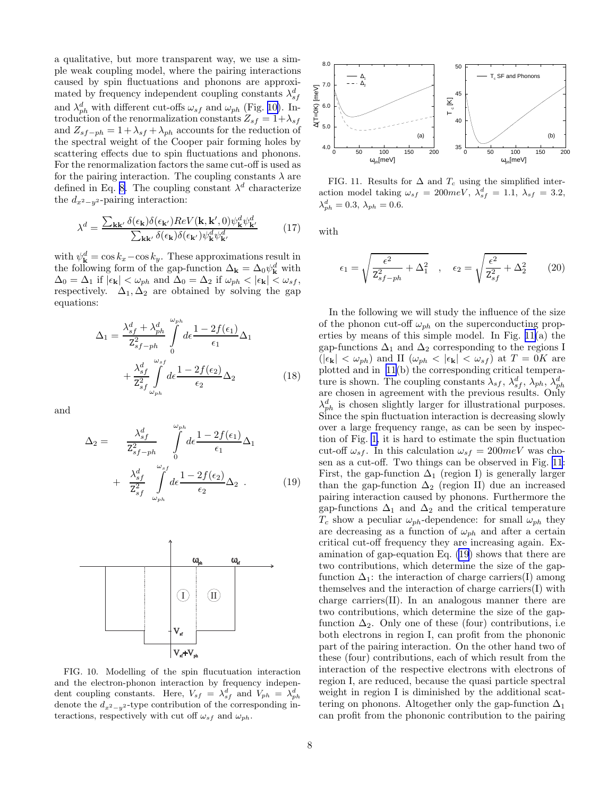<span id="page-7-0"></span>a qualitative, but more transparent way, we use a simple weak coupling model, where the pairing interactions caused by spin fluctuations and phonons are approximated by frequency independent coupling constants  $\lambda_{sf}^d$ and  $\lambda_{ph}^d$  with different cut-offs  $\omega_{sf}$  and  $\omega_{ph}$  (Fig. 10). Introduction of the renormalization constants  $Z_{sf} = 1 + \lambda_{sf}$ and  $Z_{sf-ph} = 1 + \lambda_{sf} + \lambda_{ph}$  accounts for the reduction of the spectral weight of the Cooper pair forming holes by scattering effects due to spin fluctuations and phonons. For the renormalization factors the same cut-off is used as for the pairing interaction. The coupling constants  $\lambda$  are defined in Eq. [8.](#page-2-0) The coupling constant  $\lambda^d$  characterize the  $d_{x^2-y^2}$ -pairing interaction:

$$
\lambda^{d} = \frac{\sum_{\mathbf{k}\mathbf{k}'} \delta(\epsilon_{\mathbf{k}}) \delta(\epsilon_{\mathbf{k}'}) ReV(\mathbf{k}, \mathbf{k}', 0) \psi_{\mathbf{k}}^{d} \psi_{\mathbf{k}'}^{d}}{\sum_{\mathbf{k}\mathbf{k}'} \delta(\epsilon_{\mathbf{k}}) \delta(\epsilon_{\mathbf{k}'}) \psi_{\mathbf{k}}^{d} \psi_{\mathbf{k}'}^{d}} \tag{17}
$$

with  $\psi_{\mathbf{k}}^d = \cos k_x - \cos k_y$ . These approximations result in the following form of the gap-function  $\Delta_{\mathbf{k}} = \Delta_0 \psi_{\mathbf{k}}^d$  with  $\Delta_0 = \Delta_1$  if  $|\epsilon_{\mathbf{k}}| < \omega_{ph}$  and  $\Delta_0 = \Delta_2$  if  $\omega_{ph} < |\epsilon_{\mathbf{k}}| < \omega_{sf}$ , respectively.  $\Delta_1, \Delta_2$  are obtained by solving the gap equations:

$$
\Delta_1 = \frac{\lambda_{sf}^d + \lambda_{ph}^d}{Z_{sf-ph}^2} \int_0^{\omega_{ph}} d\epsilon \frac{1 - 2f(\epsilon_1)}{\epsilon_1} \Delta_1 + \frac{\lambda_{sf}^d}{Z_{sf}^2} \int_0^{\omega_{sf}} d\epsilon \frac{1 - 2f(\epsilon_2)}{\epsilon_2} \Delta_2 \tag{18}
$$

and

$$
\Delta_2 = \frac{\lambda_{sf}^d}{Z_{sf-ph}^2} \int\limits_{0}^{\omega_{ph}} d\epsilon \frac{1 - 2f(\epsilon_1)}{\epsilon_1} \Delta_1 + \frac{\lambda_{sf}^d}{Z_{sf}^2} \int\limits_{\omega_{ph}}^{\omega_{sf}} d\epsilon \frac{1 - 2f(\epsilon_2)}{\epsilon_2} \Delta_2 . \tag{19}
$$



FIG. 10. Modelling of the spin flucutuation interaction and the electron-phonon interaction by frequency independent coupling constants. Here,  $V_{sf} = \lambda_{sf}^d$  and  $V_{ph} = \lambda_{ph}^d$ denote the  $d_{x^2-y^2}$ -type contribution of the corresponding interactions, respectively with cut off  $\omega_{sf}$  and  $\omega_{ph}$ .



FIG. 11. Results for  $\Delta$  and  $T_c$  using the simplified interaction model taking  $\omega_{sf} = 200meV$ ,  $\lambda_{sf}^d = 1.1$ ,  $\lambda_{sf} = 3.2$ ,  $\lambda_{ph}^d = 0.3, \lambda_{ph} = 0.6.$ 

with

$$
\epsilon_1 = \sqrt{\frac{\epsilon^2}{Z_{sf-ph}^2} + \Delta_1^2} \quad , \quad \epsilon_2 = \sqrt{\frac{\epsilon^2}{Z_{sf}^2} + \Delta_2^2} \qquad (20)
$$

In the following we will study the influence of the size of the phonon cut-off  $\omega_{ph}$  on the superconducting properties by means of this simple model. In Fig. 11(a) the gap-functions  $\Delta_1$  and  $\Delta_2$  corresponding to the regions I  $(|\epsilon_{\mathbf{k}}| < \omega_{ph})$  and II  $(\omega_{ph} < |\epsilon_{\mathbf{k}}| < \omega_{sf})$  at  $T = 0K$  are plotted and in 11(b) the corresponding critical temperature is shown. The coupling constants  $\lambda_{sf}$ ,  $\lambda_{sf}^d$ ,  $\lambda_{ph}$ ,  $\lambda_{ph}^d$ are chosen in agreement with the previous results. Only  $\lambda_{ph}^d$  is chosen slightly larger for illustrational purposes.  $S<sub>inc</sub>$  the spin fluctuation interaction is decreasing slowly over a large frequency range, as can be seen by inspection of Fig. [1,](#page-3-0) it is hard to estimate the spin fluctuation cut-off  $\omega_{sf}$ . In this calculation  $\omega_{sf} = 200meV$  was chosen as a cut-off. Two things can be observed in Fig. 11: First, the gap-function  $\Delta_1$  (region I) is generally larger than the gap-function  $\Delta_2$  (region II) due an increased pairing interaction caused by phonons. Furthermore the gap-functions  $\Delta_1$  and  $\Delta_2$  and the critical temperature  $T_c$  show a peculiar  $\omega_{ph}$ -dependence: for small  $\omega_{ph}$  they are decreasing as a function of  $\omega_{ph}$  and after a certain critical cut-off frequency they are increasing again. Examination of gap-equation Eq. (19) shows that there are two contributions, which determine the size of the gapfunction  $\Delta_1$ : the interaction of charge carriers(I) among themselves and the interaction of charge carriers(I) with charge carriers(II). In an analogous manner there are two contributions, which determine the size of the gapfunction  $\Delta_2$ . Only one of these (four) contributions, i.e. both electrons in region I, can profit from the phononic part of the pairing interaction. On the other hand two of these (four) contributions, each of which result from the interaction of the respective electrons with electrons of region I, are reduced, because the quasi particle spectral weight in region I is diminished by the additional scattering on phonons. Altogether only the gap-function  $\Delta_1$ can profit from the phononic contribution to the pairing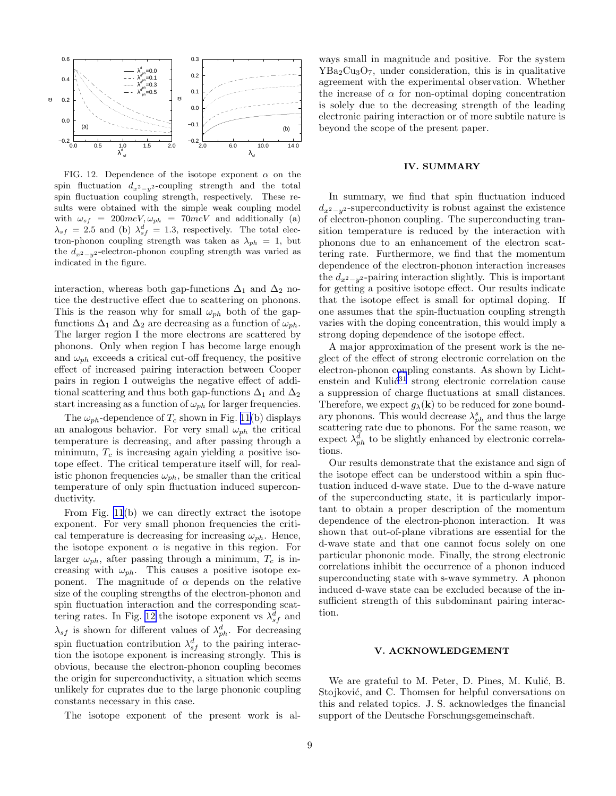

FIG. 12. Dependence of the isotope exponent  $\alpha$  on the spin fluctuation  $d_{x^2-y^2}$ -coupling strength and the total spin fluctuation coupling strength, respectively. These results were obtained with the simple weak coupling model with  $\omega_{sf} = 200meV, \omega_{ph} = 70meV$  and additionally (a)  $\lambda_{sf} = 2.5$  and (b)  $\lambda_{sf}^d = 1.3$ , respectively. The total electron-phonon coupling strength was taken as  $\lambda_{ph} = 1$ , but the  $d_{x^2-y^2}$ -electron-phonon coupling strength was varied as indicated in the figure.

interaction, whereas both gap-functions  $\Delta_1$  and  $\Delta_2$  notice the destructive effect due to scattering on phonons. This is the reason why for small  $\omega_{ph}$  both of the gapfunctions  $\Delta_1$  and  $\Delta_2$  are decreasing as a function of  $\omega_{ph}$ . The larger region I the more electrons are scattered by phonons. Only when region I has become large enough and  $\omega_{ph}$  exceeds a critical cut-off frequency, the positive effect of increased pairing interaction between Cooper pairs in region I outweighs the negative effect of additional scattering and thus both gap-functions  $\Delta_1$  and  $\Delta_2$ start increasing as a function of  $\omega_{ph}$  for larger frequencies.

The  $\omega_{ph}$ -dependence of  $T_c$  shown in Fig. [11\(](#page-7-0)b) displays an analogous behavior. For very small  $\omega_{ph}$  the critical temperature is decreasing, and after passing through a minimum,  $T_c$  is increasing again yielding a positive isotope effect. The critical temperature itself will, for realistic phonon frequencies  $\omega_{ph}$ , be smaller than the critical temperature of only spin fluctuation induced superconductivity.

From Fig. [11](#page-7-0)(b) we can directly extract the isotope exponent. For very small phonon frequencies the critical temperature is decreasing for increasing  $\omega_{ph}$ . Hence, the isotope exponent  $\alpha$  is negative in this region. For larger  $\omega_{ph}$ , after passing through a minimum,  $T_c$  is increasing with  $\omega_{ph}$ . This causes a positive isotope exponent. The magnitude of  $\alpha$  depends on the relative size of the coupling strengths of the electron-phonon and spin fluctuation interaction and the corresponding scattering rates. In Fig. 12 the isotope exponent vs  $\lambda_{sf}^d$  and  $\lambda_{sf}$  is shown for different values of  $\lambda_{ph}^d$ . For decreasing spin fluctuation contribution  $\lambda_{sf}^d$  to the pairing interaction the isotope exponent is increasing strongly. This is obvious, because the electron-phonon coupling becomes the origin for superconductivity, a situation which seems unlikely for cuprates due to the large phononic coupling constants necessary in this case.

The isotope exponent of the present work is al-

ways small in magnitude and positive. For the system  $YBa<sub>2</sub>Cu<sub>3</sub>O<sub>7</sub>$ , under consideration, this is in qualitative agreement with the experimental observation. Whether the increase of  $\alpha$  for non-optimal doping concentration is solely due to the decreasing strength of the leading electronic pairing interaction or of more subtile nature is beyond the scope of the present paper.

#### IV. SUMMARY

In summary, we find that spin fluctuation induced  $d_{x^2-y^2}$ -superconductivity is robust against the existence of electron-phonon coupling. The superconducting transition temperature is reduced by the interaction with phonons due to an enhancement of the electron scattering rate. Furthermore, we find that the momentum dependence of the electron-phonon interaction increases the  $d_{x^2-y^2}$ -pairing interaction slightly. This is important for getting a positive isotope effect. Our results indicate that the isotope effect is small for optimal doping. If one assumes that the spin-fluctuation coupling strength varies with the doping concentration, this would imply a strong doping dependence of the isotope effect.

A major approximation of the present work is the neglect of the effect of strong electronic correlation on the electron-phonon coupling constants. As shown by Lichtenstein and Kuli $\acute{\text{c}}^{31}$  $\acute{\text{c}}^{31}$  $\acute{\text{c}}^{31}$  strong electronic correlation cause a suppression of charge fluctuations at small distances. Therefore, we expect  $g_{\lambda}(\mathbf{k})$  to be reduced for zone boundary phonons. This would decrease  $\lambda_{ph}^s$  and thus the large scattering rate due to phonons. For the same reason, we expect  $\lambda_{ph}^d$  to be slightly enhanced by electronic correlations.

Our results demonstrate that the existance and sign of the isotope effect can be understood within a spin fluctuation induced d-wave state. Due to the d-wave nature of the superconducting state, it is particularly important to obtain a proper description of the momentum dependence of the electron-phonon interaction. It was shown that out-of-plane vibrations are essential for the d-wave state and that one cannot focus solely on one particular phononic mode. Finally, the strong electronic correlations inhibit the occurrence of a phonon induced superconducting state with s-wave symmetry. A phonon induced d-wave state can be excluded because of the insufficient strength of this subdominant pairing interaction.

## V. ACKNOWLEDGEMENT

We are grateful to M. Peter, D. Pines, M. Kulić, B. Stojković, and C. Thomsen for helpful conversations on this and related topics. J. S. acknowledges the financial support of the Deutsche Forschungsgemeinschaft.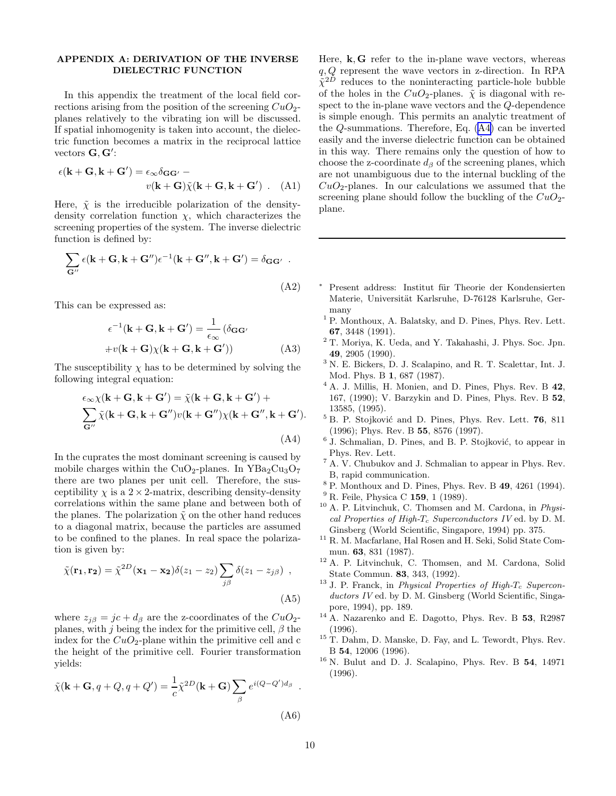## <span id="page-9-0"></span>APPENDIX A: DERIVATION OF THE INVERSE DIELECTRIC FUNCTION

In this appendix the treatment of the local field corrections arising from the position of the screening  $CuO<sub>2</sub>$ planes relatively to the vibrating ion will be discussed. If spatial inhomogenity is taken into account, the dielectric function becomes a matrix in the reciprocal lattice vectors **G**, **G**':

$$
\epsilon(\mathbf{k} + \mathbf{G}, \mathbf{k} + \mathbf{G}') = \epsilon_{\infty} \delta_{\mathbf{G} \mathbf{G}'} -
$$
  

$$
v(\mathbf{k} + \mathbf{G}) \tilde{\chi}(\mathbf{k} + \mathbf{G}, \mathbf{k} + \mathbf{G}')
$$
 (A1)

Here,  $\tilde{\chi}$  is the irreducible polarization of the densitydensity correlation function  $\chi$ , which characterizes the screening properties of the system. The inverse dielectric function is defined by:

$$
\sum_{\mathbf{G}''} \epsilon(\mathbf{k} + \mathbf{G}, \mathbf{k} + \mathbf{G}'') \epsilon^{-1} (\mathbf{k} + \mathbf{G}'', \mathbf{k} + \mathbf{G}') = \delta_{\mathbf{G} \mathbf{G}'} .
$$
\n(A2)

This can be expressed as:

$$
\epsilon^{-1}(\mathbf{k} + \mathbf{G}, \mathbf{k} + \mathbf{G}') = \frac{1}{\epsilon_{\infty}} (\delta_{\mathbf{G}\mathbf{G}'}
$$

$$
+ v(\mathbf{k} + \mathbf{G}) \chi(\mathbf{k} + \mathbf{G}, \mathbf{k} + \mathbf{G}'))
$$
(A3)

The susceptibility  $\chi$  has to be determined by solving the following integral equation:

$$
\epsilon_{\infty}\chi(\mathbf{k}+\mathbf{G}, \mathbf{k}+\mathbf{G}') = \tilde{\chi}(\mathbf{k}+\mathbf{G}, \mathbf{k}+\mathbf{G}') +
$$
  

$$
\sum_{\mathbf{G}''}\tilde{\chi}(\mathbf{k}+\mathbf{G}, \mathbf{k}+\mathbf{G}'')v(\mathbf{k}+\mathbf{G}'')\chi(\mathbf{k}+\mathbf{G}'', \mathbf{k}+\mathbf{G}').
$$
  
(A4)

In the cuprates the most dominant screening is caused by mobile charges within the  $CuO<sub>2</sub>$ -planes. In YBa<sub>2</sub>Cu<sub>3</sub>O<sub>7</sub> there are two planes per unit cell. Therefore, the susceptibility  $\chi$  is a 2  $\times$  2-matrix, describing density-density correlations within the same plane and between both of the planes. The polarization  $\tilde{\chi}$  on the other hand reduces to a diagonal matrix, because the particles are assumed to be confined to the planes. In real space the polarization is given by:

$$
\tilde{\chi}(\mathbf{r_1}, \mathbf{r_2}) = \tilde{\chi}^{2D}(\mathbf{x_1} - \mathbf{x_2})\delta(z_1 - z_2) \sum_{j\beta} \delta(z_1 - z_{j\beta}),
$$
\n(A5)

where  $z_{j\beta} = jc + d_{\beta}$  are the z-coordinates of the  $CuO<sub>2</sub>$ planes, with j being the index for the primitive cell,  $\beta$  the index for the  $CuO<sub>2</sub>$ -plane within the primitive cell and c the height of the primitive cell. Fourier transformation yields:

$$
\tilde{\chi}(\mathbf{k} + \mathbf{G}, q + Q, q + Q') = \frac{1}{c}\tilde{\chi}^{2D}(\mathbf{k} + \mathbf{G})\sum_{\beta} e^{i(Q - Q')d_{\beta}}.
$$
\n(A6)

Here,  $k$ ,  $G$  refer to the in-plane wave vectors, whereas  $q, Q$  represent the wave vectors in z-direction. In RPA  $\tilde{\chi}^{2D}$  reduces to the noninteracting particle-hole bubble of the holes in the  $CuO<sub>2</sub>$ -planes.  $\tilde{\chi}$  is diagonal with respect to the in-plane wave vectors and the Q-dependence is simple enough. This permits an analytic treatment of the Q-summations. Therefore, Eq. (A4) can be inverted easily and the inverse dielectric function can be obtained in this way. There remains only the question of how to choose the z-coordinate  $d_{\beta}$  of the screening planes, which are not unambiguous due to the internal buckling of the  $CuO<sub>2</sub>$ -planes. In our calculations we assumed that the screening plane should follow the buckling of the  $CuO<sub>2</sub>$ plane.

- Present address: Institut für Theorie der Kondensierten Materie, Universität Karlsruhe, D-76128 Karlsruhe, Germany
- $^1$  P. Monthoux, A. Balatsky, and D. Pines, Phys. Rev. Lett. 67, 3448 (1991).
- <sup>2</sup> T. Moriya, K. Ueda, and Y. Takahashi, J. Phys. Soc. Jpn. 49, 2905 (1990).
- <sup>3</sup> N. E. Bickers, D. J. Scalapino, and R. T. Scalettar, Int. J. Mod. Phys. B 1, 687 (1987).
- $4$  A. J. Millis, H. Monien, and D. Pines, Phys. Rev. B  $42$ , 167, (1990); V. Barzykin and D. Pines, Phys. Rev. B 52, 13585, (1995).
- ${}^{5}$  B. P. Stojković and D. Pines, Phys. Rev. Lett. 76, 811 (1996); Phys. Rev. B 55, 8576 (1997).
- <sup>6</sup> J. Schmalian, D. Pines, and B. P. Stojković, to appear in Phys. Rev. Lett.
- <sup>7</sup> A. V. Chubukov and J. Schmalian to appear in Phys. Rev. B, rapid communication.
- <sup>8</sup> P. Monthoux and D. Pines, Phys. Rev. B 49, 4261 (1994).
- <sup>9</sup> R. Feile, Physica C 159, 1 (1989).
- <sup>10</sup> A. P. Litvinchuk, C. Thomsen and M. Cardona, in *Physi*cal Properties of High- $T_c$  Superconductors IV ed. by D. M. Ginsberg (World Scientific, Singapore, 1994) pp. 375.
- $^{11}$  R. M. Macfarlane, Hal Rosen and H. Seki, Solid State Commun. 63, 831 (1987).
- <sup>12</sup> A. P. Litvinchuk, C. Thomsen, and M. Cardona, Solid State Commun. 83, 343, (1992).
- $^{13}$  J. P. Franck, in *Physical Properties of High-T<sub>c</sub>* Superconductors IV ed. by D. M. Ginsberg (World Scientific, Singapore, 1994), pp. 189.
- <sup>14</sup> A. Nazarenko and E. Dagotto, Phys. Rev. B 53, R2987 (1996).
- <sup>15</sup> T. Dahm, D. Manske, D. Fay, and L. Tewordt, Phys. Rev. B 54, 12006 (1996).
- <sup>16</sup> N. Bulut and D. J. Scalapino, Phys. Rev. B 54, 14971 (1996).